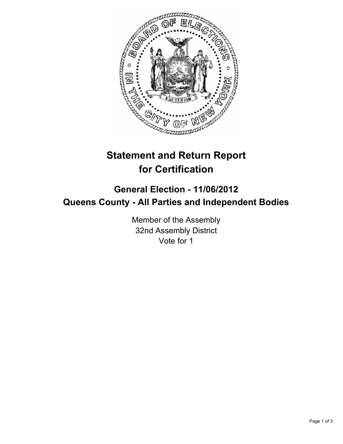

## **Statement and Return Report for Certification**

## **General Election - 11/06/2012 Queens County - All Parties and Independent Bodies**

Member of the Assembly 32nd Assembly District Vote for 1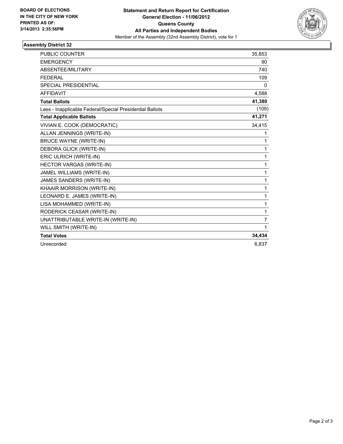

## **Assembly District 32**

| <b>PUBLIC COUNTER</b>                                    | 35,853 |
|----------------------------------------------------------|--------|
| <b>EMERGENCY</b>                                         | 90     |
| <b>ABSENTEE/MILITARY</b>                                 | 740    |
| <b>FEDERAL</b>                                           | 109    |
| <b>SPECIAL PRESIDENTIAL</b>                              | 0      |
| <b>AFFIDAVIT</b>                                         | 4,588  |
| <b>Total Ballots</b>                                     | 41,380 |
| Less - Inapplicable Federal/Special Presidential Ballots | (109)  |
| <b>Total Applicable Ballots</b>                          | 41,271 |
| VIVIAN E. COOK (DEMOCRATIC)                              | 34,415 |
| ALLAN JENNINGS (WRITE-IN)                                | 1      |
| <b>BRUCE WAYNE (WRITE-IN)</b>                            | 1      |
| DEBORA GLICK (WRITE-IN)                                  | 1      |
| ERIC ULRICH (WRITE-IN)                                   | 1      |
| <b>HECTOR VARGAS (WRITE-IN)</b>                          | 1      |
| JAMEL WILLIAMS (WRITE-IN)                                | 1      |
| <b>JAMES SANDERS (WRITE-IN)</b>                          | 1      |
| KHAAIR MORRISON (WRITE-IN)                               | 1      |
| LEONARD E. JAMES (WRITE-IN)                              | 1      |
| LISA MOHAMMED (WRITE-IN)                                 | 1      |
| RODERICK CEASAR (WRITE-IN)                               | 1      |
| UNATTRIBUTABLE WRITE-IN (WRITE-IN)                       | 7      |
| WILL SMITH (WRITE-IN)                                    | 1      |
| <b>Total Votes</b>                                       | 34,434 |
| Unrecorded                                               | 6.837  |